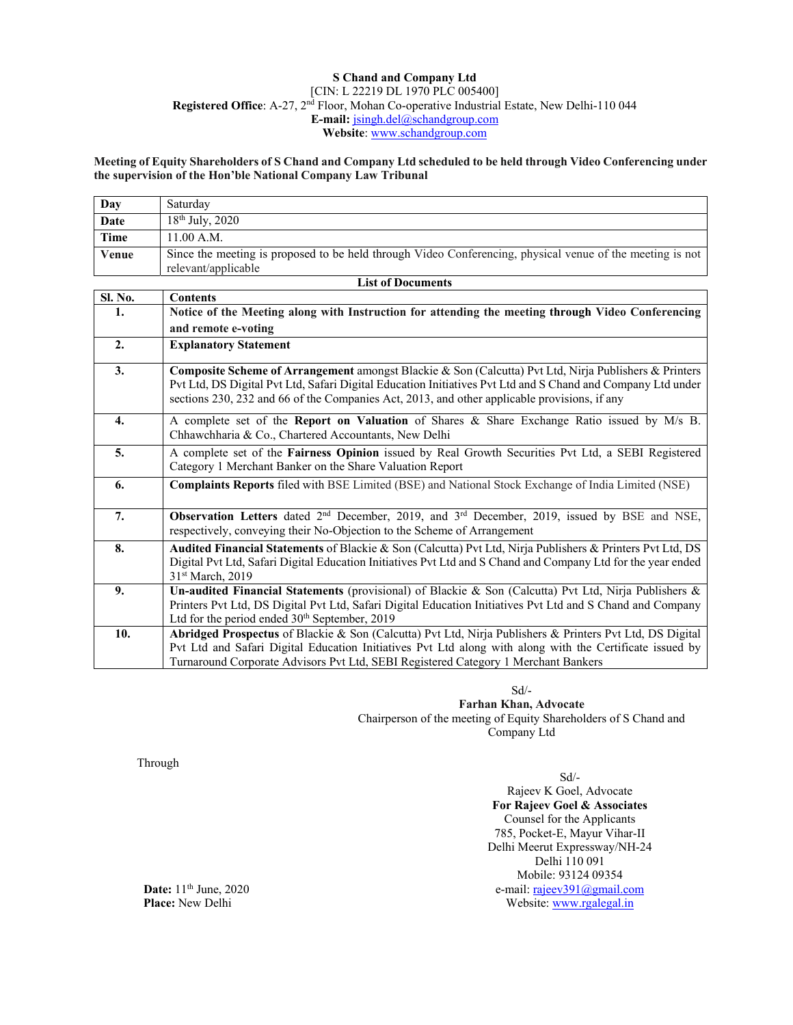### **S Chand and Company Ltd**  [CIN: L 22219 DL 1970 PLC 005400] **Registered Office**: A-27, 2nd Floor, Mohan Co-operative Industrial Estate, New Delhi-110 044 **E-mail:** jsingh.del@schandgroup.com **Website**: www.schandgroup.com

**Meeting of Equity Shareholders of S Chand and Company Ltd scheduled to be held through Video Conferencing under the supervision of the Hon'ble National Company Law Tribunal**

| Day                | Saturday                                                                                                  |  |
|--------------------|-----------------------------------------------------------------------------------------------------------|--|
| <b>Date</b>        | $18th$ July, 2020                                                                                         |  |
| Time               | 11.00 A.M.                                                                                                |  |
| Venue              | Since the meeting is proposed to be held through Video Conferencing, physical venue of the meeting is not |  |
|                    | relevant/applicable                                                                                       |  |
| l ist of Documents |                                                                                                           |  |

|                | ым от росчисны                                                                                                                                                                                                                                                                                                       |
|----------------|----------------------------------------------------------------------------------------------------------------------------------------------------------------------------------------------------------------------------------------------------------------------------------------------------------------------|
| <b>Sl. No.</b> | <b>Contents</b>                                                                                                                                                                                                                                                                                                      |
| 1.             | Notice of the Meeting along with Instruction for attending the meeting through Video Conferencing                                                                                                                                                                                                                    |
|                | and remote e-voting                                                                                                                                                                                                                                                                                                  |
| 2.             | <b>Explanatory Statement</b>                                                                                                                                                                                                                                                                                         |
| 3.             | Composite Scheme of Arrangement amongst Blackie & Son (Calcutta) Pvt Ltd, Nirja Publishers & Printers<br>Pvt Ltd, DS Digital Pvt Ltd, Safari Digital Education Initiatives Pvt Ltd and S Chand and Company Ltd under<br>sections 230, 232 and 66 of the Companies Act, 2013, and other applicable provisions, if any |
| 4.             | A complete set of the Report on Valuation of Shares & Share Exchange Ratio issued by M/s B.<br>Chhawchharia & Co., Chartered Accountants, New Delhi                                                                                                                                                                  |
| 5.             | A complete set of the Fairness Opinion issued by Real Growth Securities Pvt Ltd, a SEBI Registered<br>Category 1 Merchant Banker on the Share Valuation Report                                                                                                                                                       |
| 6.             | <b>Complaints Reports</b> filed with BSE Limited (BSE) and National Stock Exchange of India Limited (NSE)                                                                                                                                                                                                            |
| 7.             | <b>Observation Letters</b> dated $2nd$ December, 2019, and $3rd$ December, 2019, issued by BSE and NSE,<br>respectively, conveying their No-Objection to the Scheme of Arrangement                                                                                                                                   |
| 8.             | Audited Financial Statements of Blackie & Son (Calcutta) Pvt Ltd, Nirja Publishers & Printers Pvt Ltd, DS<br>Digital Pvt Ltd, Safari Digital Education Initiatives Pvt Ltd and S Chand and Company Ltd for the year ended<br>31 <sup>st</sup> March, 2019                                                            |
| 9.             | Un-audited Financial Statements (provisional) of Blackie & Son (Calcutta) Pvt Ltd, Nirja Publishers &<br>Printers Pvt Ltd, DS Digital Pvt Ltd, Safari Digital Education Initiatives Pvt Ltd and S Chand and Company<br>Ltd for the period ended 30 <sup>th</sup> September, 2019                                     |
| 10.            | Abridged Prospectus of Blackie & Son (Calcutta) Pvt Ltd, Nirja Publishers & Printers Pvt Ltd, DS Digital<br>Pvt Ltd and Safari Digital Education Initiatives Pvt Ltd along with along with the Certificate issued by<br>Turnaround Corporate Advisors Pvt Ltd, SEBI Registered Category 1 Merchant Bankers           |

Sd/-

**Farhan Khan, Advocate** Chairperson of the meeting of Equity Shareholders of S Chand and Company Ltd

Through

Sd/- Rajeev K Goel, Advocate **For Rajeev Goel & Associates**  Counsel for the Applicants 785, Pocket-E, Mayur Vihar-II Delhi Meerut Expressway/NH-24 Delhi 110 091 Mobile: 93124 09354 e-mail: rajeev391@gmail.com Website: www.rgalegal.in

**Date:** 11<sup>th</sup> June, 2020 **Place:** New Delhi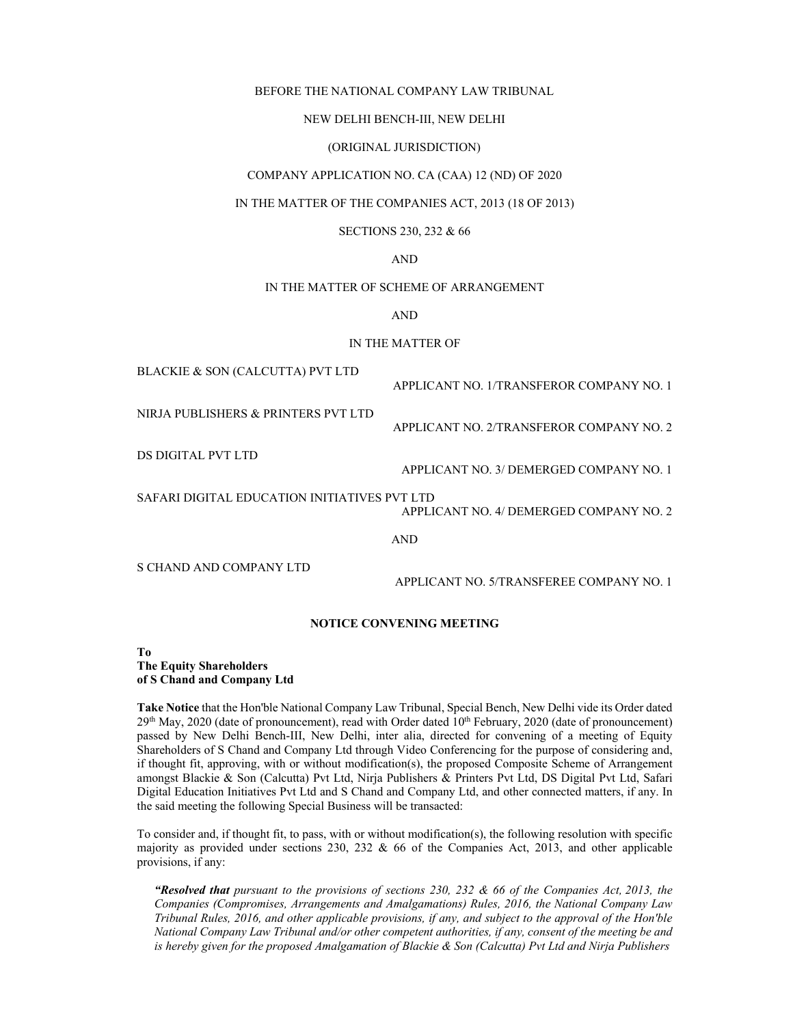#### BEFORE THE NATIONAL COMPANY LAW TRIBUNAL

#### NEW DELHI BENCH-III, NEW DELHI

### (ORIGINAL JURISDICTION)

### COMPANY APPLICATION NO. CA (CAA) 12 (ND) OF 2020

### IN THE MATTER OF THE COMPANIES ACT, 2013 (18 OF 2013)

### SECTIONS 230, 232 & 66

### AND

### IN THE MATTER OF SCHEME OF ARRANGEMENT

AND

### IN THE MATTER OF

BLACKIE & SON (CALCUTTA) PVT LTD

APPLICANT NO. 1/TRANSFEROR COMPANY NO. 1

APPLICANT NO. 2/TRANSFEROR COMPANY NO. 2

NIRJA PUBLISHERS & PRINTERS PVT LTD

DS DIGITAL PVT LTD

APPLICANT NO. 3/ DEMERGED COMPANY NO. 1

SAFARI DIGITAL EDUCATION INITIATIVES PVT LTD

APPLICANT NO. 4/ DEMERGED COMPANY NO. 2

AND

S CHAND AND COMPANY LTD

APPLICANT NO. 5/TRANSFEREE COMPANY NO. 1

### **NOTICE CONVENING MEETING**

**To The Equity Shareholders of S Chand and Company Ltd** 

**Take Notice** that the Hon'ble National Company Law Tribunal, Special Bench, New Delhi vide its Order dated  $29<sup>th</sup>$  May, 2020 (date of pronouncement), read with Order dated  $10<sup>th</sup>$  February, 2020 (date of pronouncement) passed by New Delhi Bench-III, New Delhi, inter alia, directed for convening of a meeting of Equity Shareholders of S Chand and Company Ltd through Video Conferencing for the purpose of considering and, if thought fit, approving, with or without modification(s), the proposed Composite Scheme of Arrangement amongst Blackie & Son (Calcutta) Pvt Ltd, Nirja Publishers & Printers Pvt Ltd, DS Digital Pvt Ltd, Safari Digital Education Initiatives Pvt Ltd and S Chand and Company Ltd, and other connected matters, if any. In the said meeting the following Special Business will be transacted:

To consider and, if thought fit, to pass, with or without modification(s), the following resolution with specific majority as provided under sections 230, 232 & 66 of the Companies Act, 2013, and other applicable provisions, if any:

*"Resolved that pursuant to the provisions of sections 230, 232 & 66 of the Companies Act, 2013, the Companies (Compromises, Arrangements and Amalgamations) Rules, 2016, the National Company Law Tribunal Rules, 2016, and other applicable provisions, if any, and subject to the approval of the Hon'ble National Company Law Tribunal and/or other competent authorities, if any, consent of the meeting be and is hereby given for the proposed Amalgamation of Blackie & Son (Calcutta) Pvt Ltd and Nirja Publishers*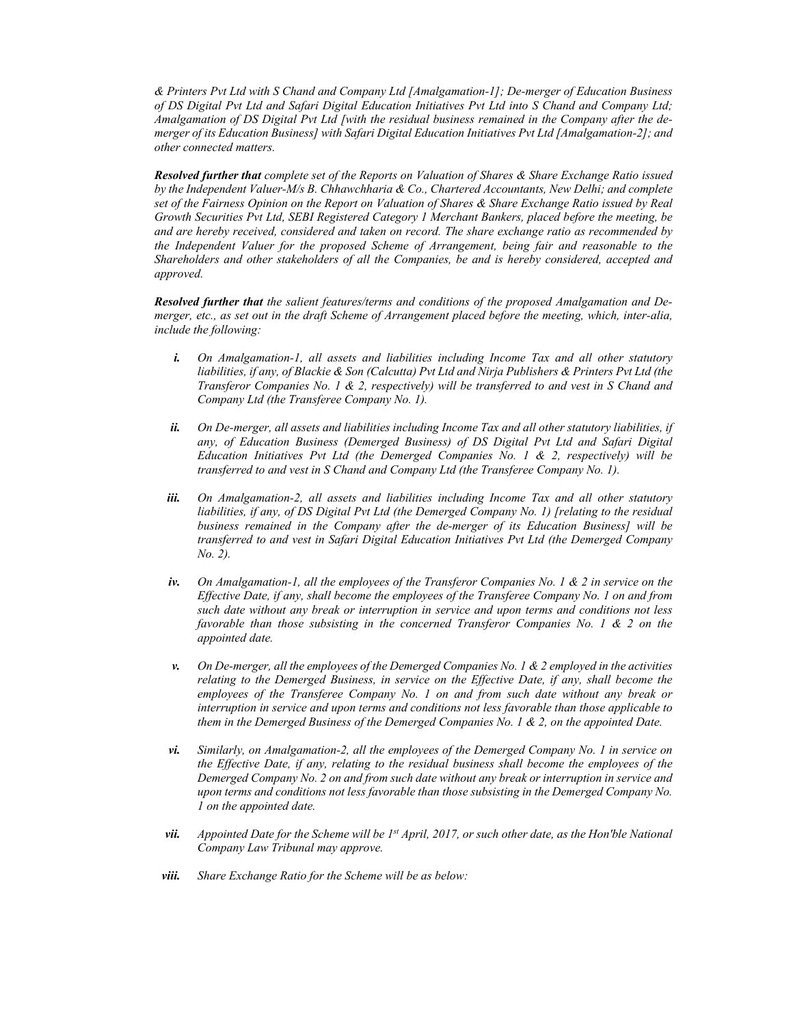*& Printers Pvt Ltd with S Chand and Company Ltd [Amalgamation-1]; De-merger of Education Business of DS Digital Pvt Ltd and Safari Digital Education Initiatives Pvt Ltd into S Chand and Company Ltd; Amalgamation of DS Digital Pvt Ltd [with the residual business remained in the Company after the demerger of its Education Business] with Safari Digital Education Initiatives Pvt Ltd [Amalgamation-2]; and other connected matters.* 

*Resolved further that complete set of the Reports on Valuation of Shares & Share Exchange Ratio issued by the Independent Valuer-M/s B. Chhawchharia & Co., Chartered Accountants, New Delhi; and complete set of the Fairness Opinion on the Report on Valuation of Shares & Share Exchange Ratio issued by Real Growth Securities Pvt Ltd, SEBI Registered Category 1 Merchant Bankers, placed before the meeting, be and are hereby received, considered and taken on record. The share exchange ratio as recommended by the Independent Valuer for the proposed Scheme of Arrangement, being fair and reasonable to the Shareholders and other stakeholders of all the Companies, be and is hereby considered, accepted and approved.* 

*Resolved further that the salient features/terms and conditions of the proposed Amalgamation and Demerger, etc., as set out in the draft Scheme of Arrangement placed before the meeting, which, inter-alia, include the following:* 

- *i. On Amalgamation-1, all assets and liabilities including Income Tax and all other statutory liabilities, if any, of Blackie & Son (Calcutta) Pvt Ltd and Nirja Publishers & Printers Pvt Ltd (the Transferor Companies No. 1 & 2, respectively) will be transferred to and vest in S Chand and Company Ltd (the Transferee Company No. 1).*
- *ii. On De-merger, all assets and liabilities including Income Tax and all other statutory liabilities, if any, of Education Business (Demerged Business) of DS Digital Pvt Ltd and Safari Digital Education Initiatives Pvt Ltd (the Demerged Companies No. 1 & 2, respectively) will be transferred to and vest in S Chand and Company Ltd (the Transferee Company No. 1).*
- *iii. On Amalgamation-2, all assets and liabilities including Income Tax and all other statutory liabilities, if any, of DS Digital Pvt Ltd (the Demerged Company No. 1) [relating to the residual business remained in the Company after the de-merger of its Education Business] will be transferred to and vest in Safari Digital Education Initiatives Pvt Ltd (the Demerged Company No. 2).*
- *iv. On Amalgamation-1, all the employees of the Transferor Companies No. 1 & 2 in service on the Effective Date, if any, shall become the employees of the Transferee Company No. 1 on and from such date without any break or interruption in service and upon terms and conditions not less favorable than those subsisting in the concerned Transferor Companies No. 1 & 2 on the appointed date.*
- *v. On De-merger, all the employees of the Demerged Companies No. 1 & 2 employed in the activities relating to the Demerged Business, in service on the Effective Date, if any, shall become the employees of the Transferee Company No. 1 on and from such date without any break or interruption in service and upon terms and conditions not less favorable than those applicable to them in the Demerged Business of the Demerged Companies No. 1 & 2, on the appointed Date.*
- *vi. Similarly, on Amalgamation-2, all the employees of the Demerged Company No. 1 in service on the Effective Date, if any, relating to the residual business shall become the employees of the Demerged Company No. 2 on and from such date without any break or interruption in service and upon terms and conditions not less favorable than those subsisting in the Demerged Company No. 1 on the appointed date.*
- *vii. Appointed Date for the Scheme will be 1st April, 2017, or such other date, as the Hon'ble National Company Law Tribunal may approve.*
- *viii. Share Exchange Ratio for the Scheme will be as below:*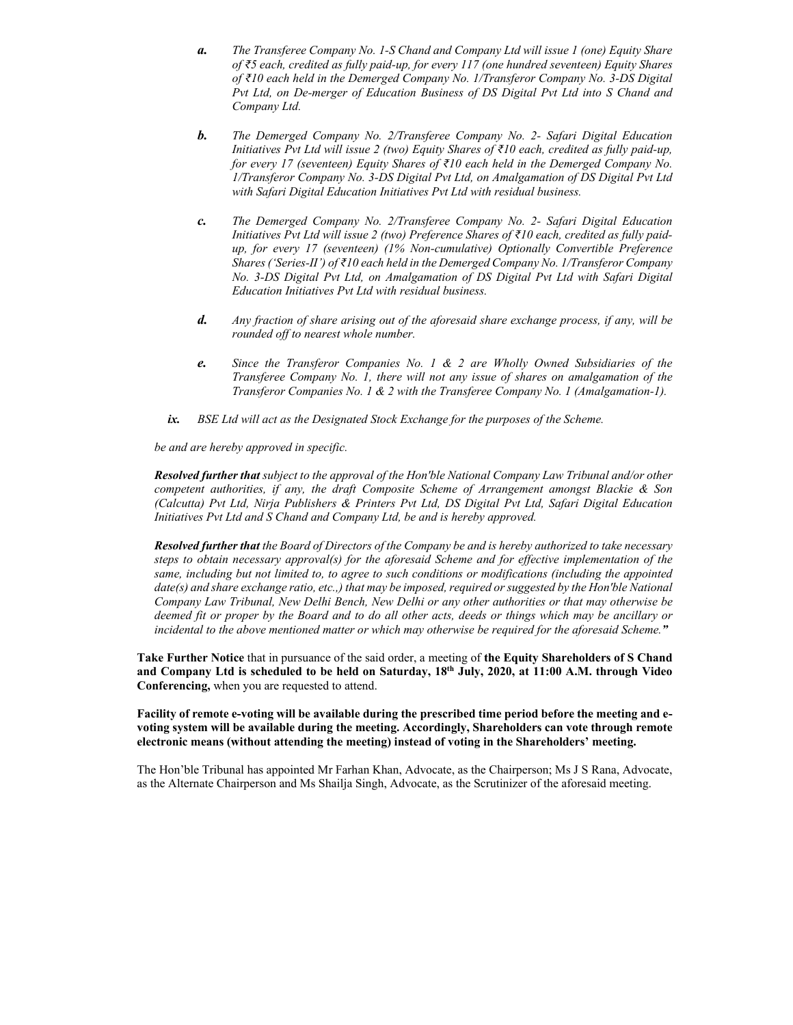- *a. The Transferee Company No. 1-S Chand and Company Ltd will issue 1 (one) Equity Share of ₹5 each, credited as fully paid-up, for every 117 (one hundred seventeen) Equity Shares of ₹10 each held in the Demerged Company No. 1/Transferor Company No. 3-DS Digital Pvt Ltd, on De-merger of Education Business of DS Digital Pvt Ltd into S Chand and Company Ltd.*
- *b. The Demerged Company No. 2/Transferee Company No. 2- Safari Digital Education Initiatives Pvt Ltd will issue 2 (two) Equity Shares of ₹10 each, credited as fully paid-up, for every 17 (seventeen) Equity Shares of ₹10 each held in the Demerged Company No. 1/Transferor Company No. 3-DS Digital Pvt Ltd, on Amalgamation of DS Digital Pvt Ltd with Safari Digital Education Initiatives Pvt Ltd with residual business.*
- *c. The Demerged Company No. 2/Transferee Company No. 2- Safari Digital Education Initiatives Pvt Ltd will issue 2 (two) Preference Shares of ₹10 each, credited as fully paidup, for every 17 (seventeen) (1% Non-cumulative) Optionally Convertible Preference Shares ('Series-II') of ₹10 each held in the Demerged Company No. 1/Transferor Company No. 3-DS Digital Pvt Ltd, on Amalgamation of DS Digital Pvt Ltd with Safari Digital Education Initiatives Pvt Ltd with residual business.*
- *d. Any fraction of share arising out of the aforesaid share exchange process, if any, will be rounded off to nearest whole number.*
- *e. Since the Transferor Companies No. 1 & 2 are Wholly Owned Subsidiaries of the Transferee Company No. 1, there will not any issue of shares on amalgamation of the Transferor Companies No. 1 & 2 with the Transferee Company No. 1 (Amalgamation-1).*
- *ix. BSE Ltd will act as the Designated Stock Exchange for the purposes of the Scheme.*

*be and are hereby approved in specific.* 

*Resolved further that subject to the approval of the Hon'ble National Company Law Tribunal and/or other competent authorities, if any, the draft Composite Scheme of Arrangement amongst Blackie & Son (Calcutta) Pvt Ltd, Nirja Publishers & Printers Pvt Ltd, DS Digital Pvt Ltd, Safari Digital Education Initiatives Pvt Ltd and S Chand and Company Ltd, be and is hereby approved.* 

*Resolved further that the Board of Directors of the Company be and is hereby authorized to take necessary steps to obtain necessary approval(s) for the aforesaid Scheme and for effective implementation of the same, including but not limited to, to agree to such conditions or modifications (including the appointed date(s) and share exchange ratio, etc.,) that may be imposed, required or suggested by the Hon'ble National Company Law Tribunal, New Delhi Bench, New Delhi or any other authorities or that may otherwise be deemed fit or proper by the Board and to do all other acts, deeds or things which may be ancillary or incidental to the above mentioned matter or which may otherwise be required for the aforesaid Scheme."* 

**Take Further Notice** that in pursuance of the said order, a meeting of **the Equity Shareholders of S Chand and Company Ltd is scheduled to be held on Saturday, 18th July, 2020, at 11:00 A.M. through Video Conferencing,** when you are requested to attend.

**Facility of remote e-voting will be available during the prescribed time period before the meeting and evoting system will be available during the meeting. Accordingly, Shareholders can vote through remote electronic means (without attending the meeting) instead of voting in the Shareholders' meeting.** 

The Hon'ble Tribunal has appointed Mr Farhan Khan, Advocate, as the Chairperson; Ms J S Rana, Advocate, as the Alternate Chairperson and Ms Shailja Singh, Advocate, as the Scrutinizer of the aforesaid meeting.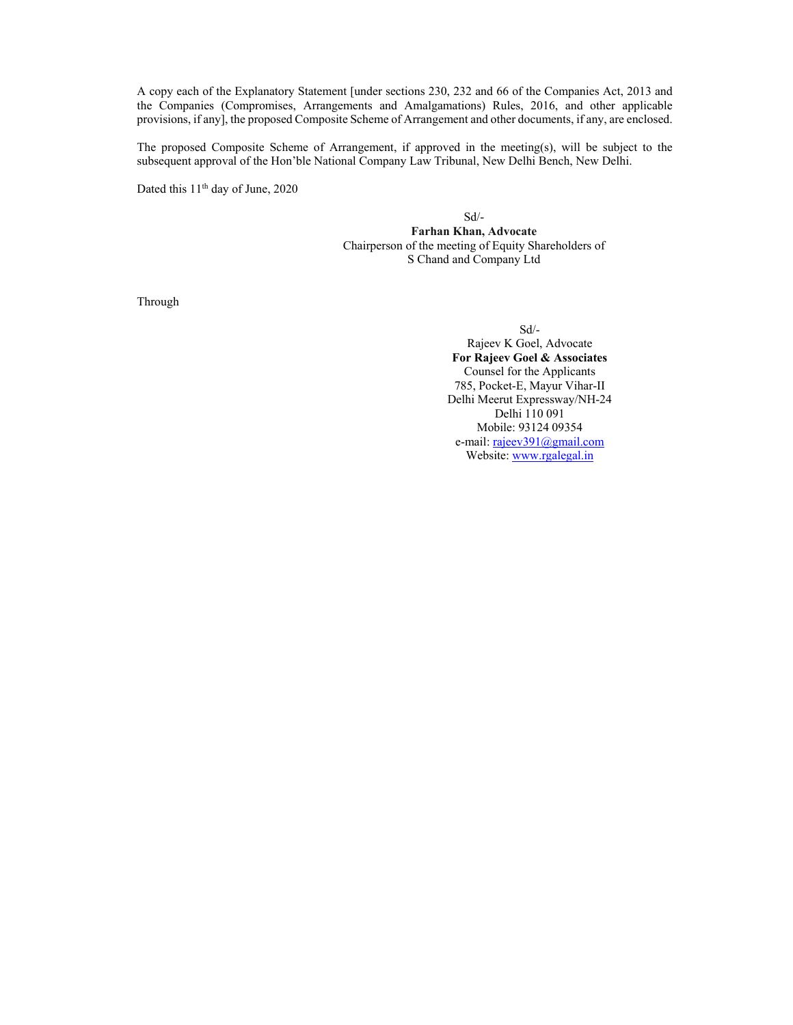A copy each of the Explanatory Statement [under sections 230, 232 and 66 of the Companies Act, 2013 and the Companies (Compromises, Arrangements and Amalgamations) Rules, 2016, and other applicable provisions, if any], the proposed Composite Scheme of Arrangement and other documents, if any, are enclosed.

The proposed Composite Scheme of Arrangement, if approved in the meeting(s), will be subject to the subsequent approval of the Hon'ble National Company Law Tribunal, New Delhi Bench, New Delhi.

Dated this 11<sup>th</sup> day of June, 2020

Sd/-

**Farhan Khan, Advocate** Chairperson of the meeting of Equity Shareholders of S Chand and Company Ltd

Through

 Sd/- Rajeev K Goel, Advocate **For Rajeev Goel & Associates**  Counsel for the Applicants 785, Pocket-E, Mayur Vihar-II Delhi Meerut Expressway/NH-24 Delhi 110 091 Mobile: 93124 09354 e-mail: rajeev391@gmail.com Website: www.rgalegal.in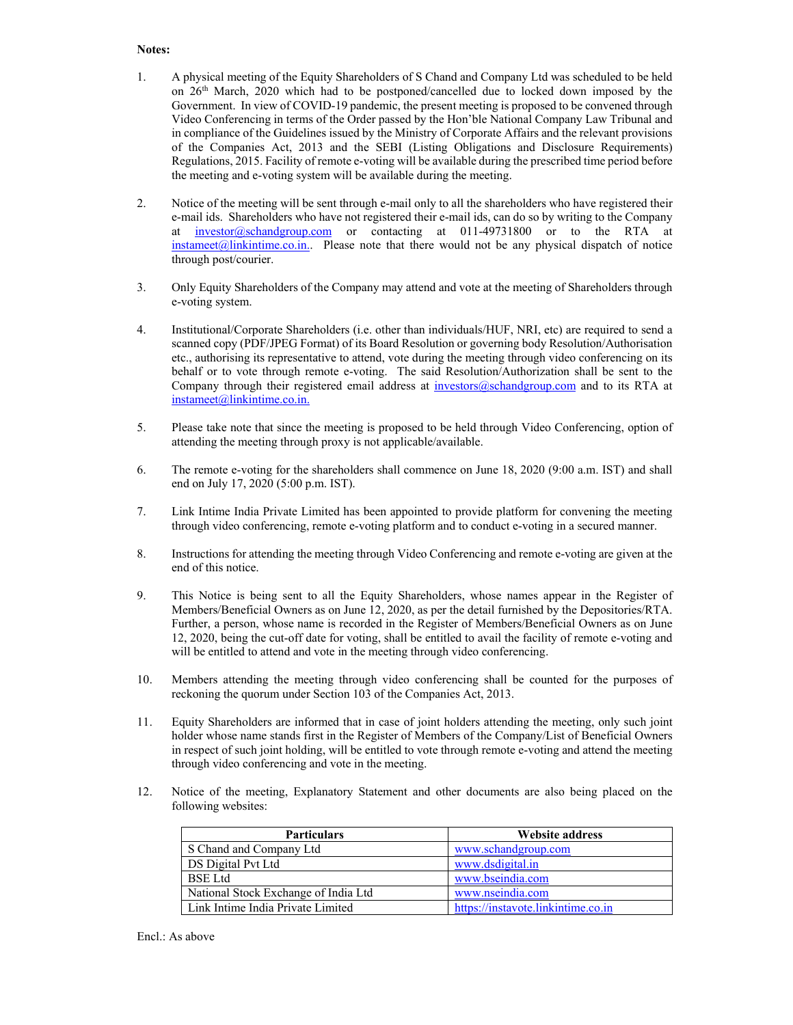# **Notes:**

- 1. A physical meeting of the Equity Shareholders of S Chand and Company Ltd was scheduled to be held on 26th March, 2020 which had to be postponed/cancelled due to locked down imposed by the Government. In view of COVID-19 pandemic, the present meeting is proposed to be convened through Video Conferencing in terms of the Order passed by the Hon'ble National Company Law Tribunal and in compliance of the Guidelines issued by the Ministry of Corporate Affairs and the relevant provisions of the Companies Act, 2013 and the SEBI (Listing Obligations and Disclosure Requirements) Regulations, 2015. Facility of remote e-voting will be available during the prescribed time period before the meeting and e-voting system will be available during the meeting.
- 2. Notice of the meeting will be sent through e-mail only to all the shareholders who have registered their e-mail ids. Shareholders who have not registered their e-mail ids, can do so by writing to the Company at investor@schandgroup.com or contacting at 011-49731800 or to the RTA at instameet(@linkintime.co.in.. Please note that there would not be any physical dispatch of notice through post/courier.
- 3. Only Equity Shareholders of the Company may attend and vote at the meeting of Shareholders through e-voting system.
- 4. Institutional/Corporate Shareholders (i.e. other than individuals/HUF, NRI, etc) are required to send a scanned copy (PDF/JPEG Format) of its Board Resolution or governing body Resolution/Authorisation etc., authorising its representative to attend, vote during the meeting through video conferencing on its behalf or to vote through remote e-voting. The said Resolution/Authorization shall be sent to the Company through their registered email address at investors@schandgroup.com and to its RTA at instameet@linkintime.co.in.
- 5. Please take note that since the meeting is proposed to be held through Video Conferencing, option of attending the meeting through proxy is not applicable/available.
- 6. The remote e-voting for the shareholders shall commence on June 18, 2020 (9:00 a.m. IST) and shall end on July 17, 2020 (5:00 p.m. IST).
- 7. Link Intime India Private Limited has been appointed to provide platform for convening the meeting through video conferencing, remote e-voting platform and to conduct e-voting in a secured manner.
- 8. Instructions for attending the meeting through Video Conferencing and remote e-voting are given at the end of this notice.
- 9. This Notice is being sent to all the Equity Shareholders, whose names appear in the Register of Members/Beneficial Owners as on June 12, 2020, as per the detail furnished by the Depositories/RTA. Further, a person, whose name is recorded in the Register of Members/Beneficial Owners as on June 12, 2020, being the cut-off date for voting, shall be entitled to avail the facility of remote e-voting and will be entitled to attend and vote in the meeting through video conferencing.
- 10. Members attending the meeting through video conferencing shall be counted for the purposes of reckoning the quorum under Section 103 of the Companies Act, 2013.
- 11. Equity Shareholders are informed that in case of joint holders attending the meeting, only such joint holder whose name stands first in the Register of Members of the Company/List of Beneficial Owners in respect of such joint holding, will be entitled to vote through remote e-voting and attend the meeting through video conferencing and vote in the meeting.
- 12. Notice of the meeting, Explanatory Statement and other documents are also being placed on the following websites:

| <b>Particulars</b>                   | <b>Website address</b>             |
|--------------------------------------|------------------------------------|
| S Chand and Company Ltd              | www.schandgroup.com                |
| DS Digital Pvt Ltd                   | www.dsdigital.in                   |
| <b>BSE</b> Ltd                       | www.bseindia.com                   |
| National Stock Exchange of India Ltd | www.nseindia.com                   |
| Link Intime India Private Limited    | https://instavote.linkintime.co.in |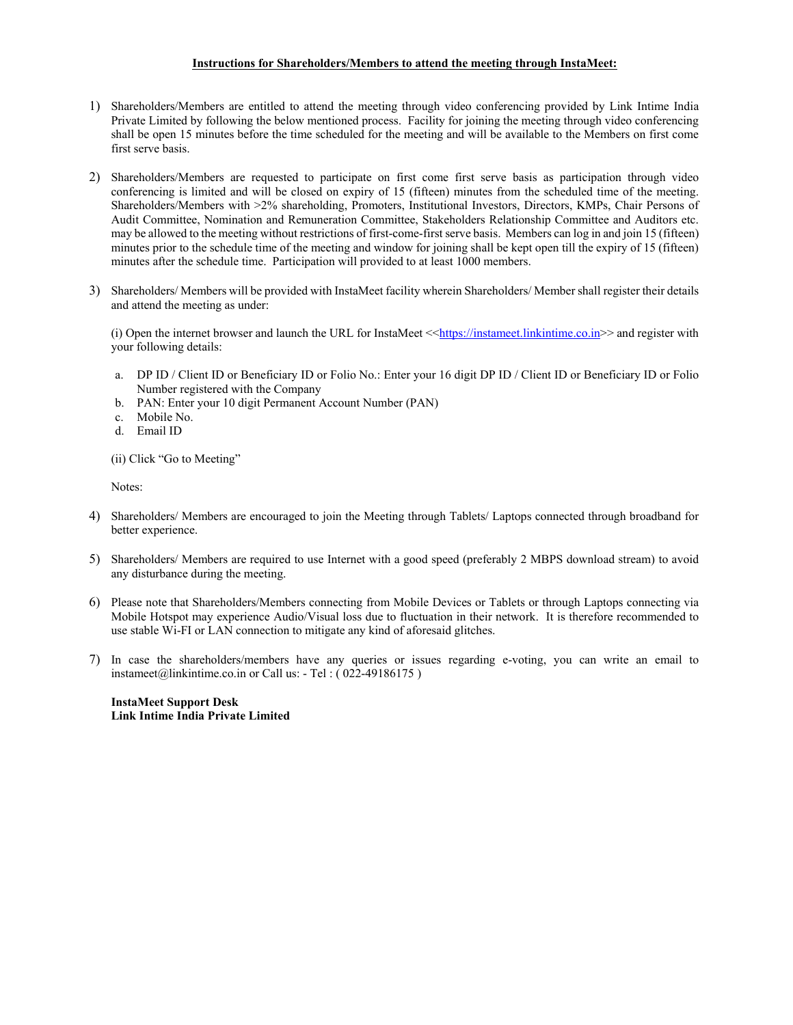# **Instructions for Shareholders/Members to attend the meeting through InstaMeet:**

- 1) Shareholders/Members are entitled to attend the meeting through video conferencing provided by Link Intime India Private Limited by following the below mentioned process. Facility for joining the meeting through video conferencing shall be open 15 minutes before the time scheduled for the meeting and will be available to the Members on first come first serve basis.
- 2) Shareholders/Members are requested to participate on first come first serve basis as participation through video conferencing is limited and will be closed on expiry of 15 (fifteen) minutes from the scheduled time of the meeting. Shareholders/Members with >2% shareholding, Promoters, Institutional Investors, Directors, KMPs, Chair Persons of Audit Committee, Nomination and Remuneration Committee, Stakeholders Relationship Committee and Auditors etc. may be allowed to the meeting without restrictions of first-come-first serve basis. Members can log in and join 15 (fifteen) minutes prior to the schedule time of the meeting and window for joining shall be kept open till the expiry of 15 (fifteen) minutes after the schedule time. Participation will provided to at least 1000 members.
- 3) Shareholders/ Members will be provided with InstaMeet facility wherein Shareholders/ Member shall register their details and attend the meeting as under:

(i) Open the internet browser and launch the URL for InstaMeet  $\leq$ https://instameet.linkintime.co.in>> and register with your following details:

- a. DP ID / Client ID or Beneficiary ID or Folio No.: Enter your 16 digit DP ID / Client ID or Beneficiary ID or Folio Number registered with the Company
- b. PAN: Enter your 10 digit Permanent Account Number (PAN)
- c. Mobile No.
- d. Email ID

(ii) Click "Go to Meeting"

Notes:

- 4) Shareholders/ Members are encouraged to join the Meeting through Tablets/ Laptops connected through broadband for better experience.
- 5) Shareholders/ Members are required to use Internet with a good speed (preferably 2 MBPS download stream) to avoid any disturbance during the meeting.
- 6) Please note that Shareholders/Members connecting from Mobile Devices or Tablets or through Laptops connecting via Mobile Hotspot may experience Audio/Visual loss due to fluctuation in their network. It is therefore recommended to use stable Wi-FI or LAN connection to mitigate any kind of aforesaid glitches.
- 7) In case the shareholders/members have any queries or issues regarding e-voting, you can write an email to instameet@linkintime.co.in or Call us: - Tel : ( 022-49186175 )

**InstaMeet Support Desk Link Intime India Private Limited**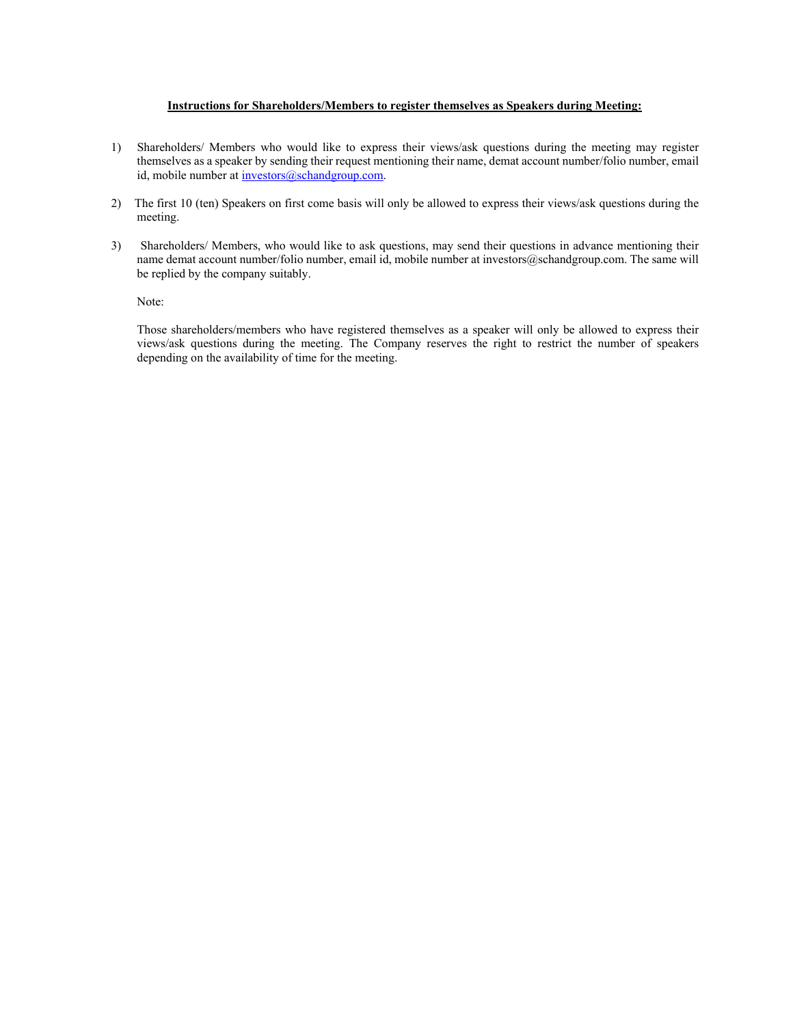# **Instructions for Shareholders/Members to register themselves as Speakers during Meeting:**

- 1) Shareholders/ Members who would like to express their views/ask questions during the meeting may register themselves as a speaker by sending their request mentioning their name, demat account number/folio number, email id, mobile number at investors@schandgroup.com.
- 2) The first 10 (ten) Speakers on first come basis will only be allowed to express their views/ask questions during the meeting.
- 3) Shareholders/ Members, who would like to ask questions, may send their questions in advance mentioning their name demat account number/folio number, email id, mobile number at investors@schandgroup.com. The same will be replied by the company suitably.

Note:

Those shareholders/members who have registered themselves as a speaker will only be allowed to express their views/ask questions during the meeting. The Company reserves the right to restrict the number of speakers depending on the availability of time for the meeting.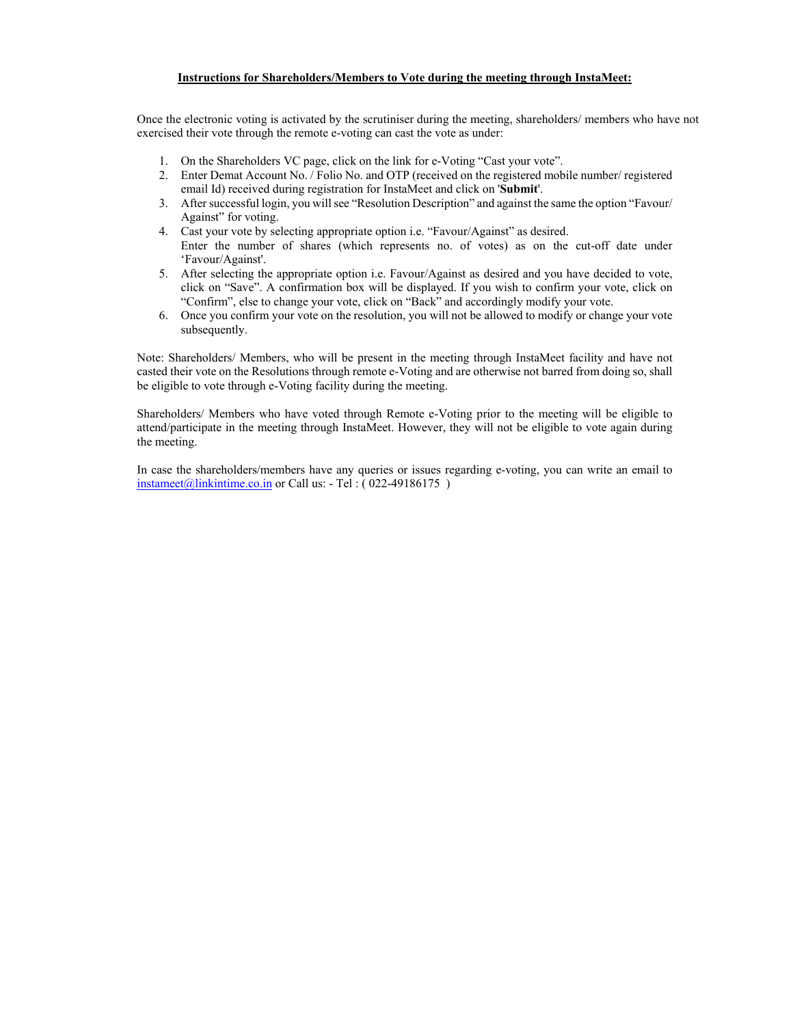# **Instructions for Shareholders/Members to Vote during the meeting through InstaMeet:**

Once the electronic voting is activated by the scrutiniser during the meeting, shareholders/ members who have not exercised their vote through the remote e-voting can cast the vote as under:

- 1. On the Shareholders VC page, click on the link for e-Voting "Cast your vote".
- 2. Enter Demat Account No. / Folio No. and OTP (received on the registered mobile number/ registered email Id) received during registration for InstaMeet and click on '**Submit**'.
- 3. After successful login, you will see "Resolution Description" and against the same the option "Favour/ Against" for voting.
- 4. Cast your vote by selecting appropriate option i.e. "Favour/Against" as desired. Enter the number of shares (which represents no. of votes) as on the cut-off date under 'Favour/Against'.
- 5. After selecting the appropriate option i.e. Favour/Against as desired and you have decided to vote, click on "Save". A confirmation box will be displayed. If you wish to confirm your vote, click on "Confirm", else to change your vote, click on "Back" and accordingly modify your vote.
- 6. Once you confirm your vote on the resolution, you will not be allowed to modify or change your vote subsequently.

Note: Shareholders/ Members, who will be present in the meeting through InstaMeet facility and have not casted their vote on the Resolutions through remote e-Voting and are otherwise not barred from doing so, shall be eligible to vote through e-Voting facility during the meeting.

Shareholders/ Members who have voted through Remote e-Voting prior to the meeting will be eligible to attend/participate in the meeting through InstaMeet. However, they will not be eligible to vote again during the meeting.

In case the shareholders/members have any queries or issues regarding e-voting, you can write an email to  $intamect(\omega)$ linkintime.co.in or Call us: - Tel :  $(022-49186175)$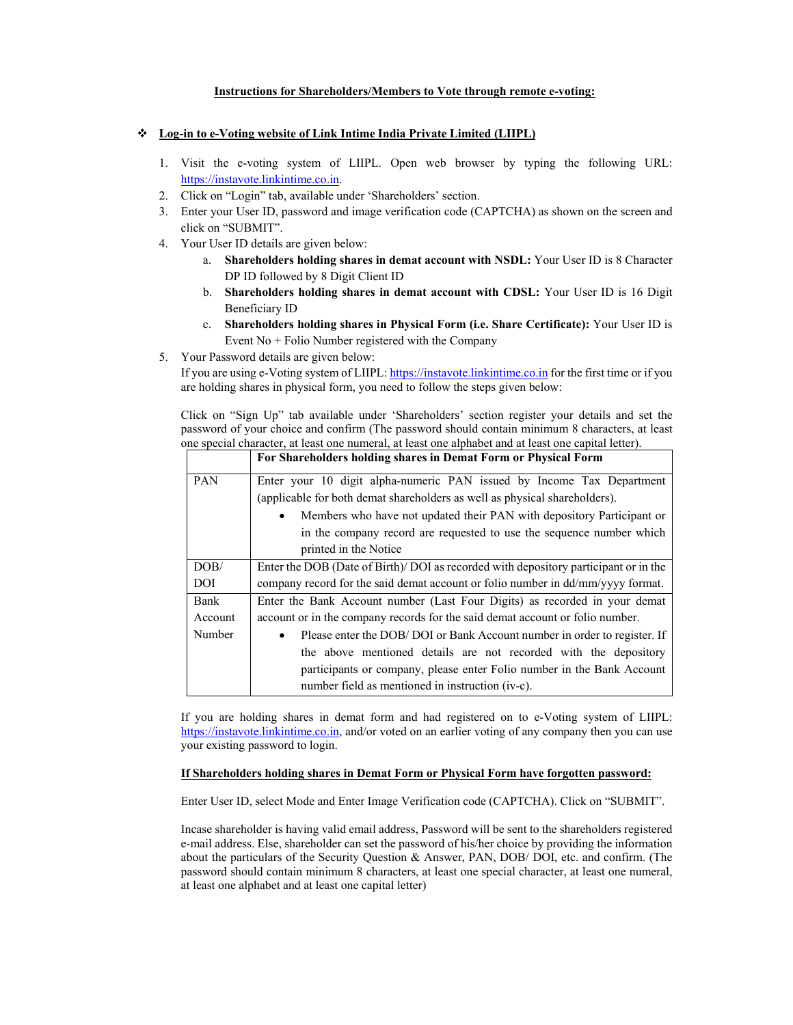### **Instructions for Shareholders/Members to Vote through remote e-voting:**

### **Log-in to e-Voting website of Link Intime India Private Limited (LIIPL)**

- 1. Visit the e-voting system of LIIPL. Open web browser by typing the following URL: https://instavote.linkintime.co.in.
- 2. Click on "Login" tab, available under 'Shareholders' section.
- 3. Enter your User ID, password and image verification code (CAPTCHA) as shown on the screen and click on "SUBMIT".
- 4. Your User ID details are given below:
	- a. **Shareholders holding shares in demat account with NSDL:** Your User ID is 8 Character DP ID followed by 8 Digit Client ID
	- b. **Shareholders holding shares in demat account with CDSL:** Your User ID is 16 Digit Beneficiary ID
	- c. **Shareholders holding shares in Physical Form (i.e. Share Certificate):** Your User ID is Event No + Folio Number registered with the Company
- 5. Your Password details are given below:

If you are using e-Voting system of LIIPL: https://instavote.linkintime.co.in for the first time or if you are holding shares in physical form, you need to follow the steps given below:

Click on "Sign Up" tab available under 'Shareholders' section register your details and set the password of your choice and confirm (The password should contain minimum 8 characters, at least one special character, at least one numeral, at least one alphabet and at least one capital letter).

|            | For Shareholders holding shares in Demat Form or Physical Form                      |  |  |
|------------|-------------------------------------------------------------------------------------|--|--|
| <b>PAN</b> | Enter your 10 digit alpha-numeric PAN issued by Income Tax Department               |  |  |
|            | (applicable for both demat shareholders as well as physical shareholders).          |  |  |
|            | Members who have not updated their PAN with depository Participant or               |  |  |
|            | in the company record are requested to use the sequence number which                |  |  |
|            | printed in the Notice                                                               |  |  |
| DOB/       | Enter the DOB (Date of Birth)/DOI as recorded with depository participant or in the |  |  |
| <b>DOI</b> | company record for the said demat account or folio number in dd/mm/yyyy format.     |  |  |
| Bank       | Enter the Bank Account number (Last Four Digits) as recorded in your demat          |  |  |
| Account    | account or in the company records for the said demat account or folio number.       |  |  |
| Number     | Please enter the DOB/DOI or Bank Account number in order to register. If            |  |  |
|            | the above mentioned details are not recorded with the depository                    |  |  |
|            | participants or company, please enter Folio number in the Bank Account              |  |  |
|            | number field as mentioned in instruction (iv-c).                                    |  |  |

If you are holding shares in demat form and had registered on to e-Voting system of LIIPL: https://instavote.linkintime.co.in, and/or voted on an earlier voting of any company then you can use your existing password to login.

### **If Shareholders holding shares in Demat Form or Physical Form have forgotten password:**

Enter User ID, select Mode and Enter Image Verification code (CAPTCHA). Click on "SUBMIT".

Incase shareholder is having valid email address, Password will be sent to the shareholders registered e-mail address. Else, shareholder can set the password of his/her choice by providing the information about the particulars of the Security Question & Answer, PAN, DOB/ DOI, etc. and confirm. (The password should contain minimum 8 characters, at least one special character, at least one numeral, at least one alphabet and at least one capital letter)